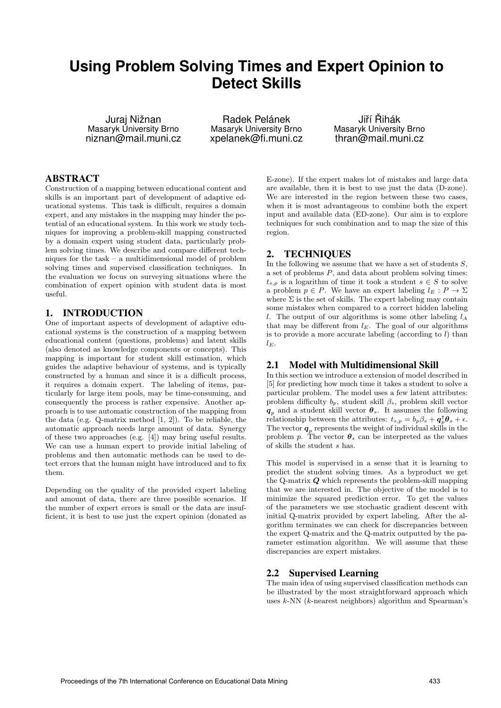# **Using Problem Solving Times and Expert Opinion to Detect Skills**

Juraj Nižnan Masaryk University Brno niznan@mail.muni.cz

Radek Pelánek Masaryk University Brno xpelanek@fi.muni.cz

Jiří Řihák Masaryk University Brno thran@mail.muni.cz

# ABSTRACT

Construction of a mapping between educational content and skills is an important part of development of adaptive educational systems. This task is difficult, requires a domain expert, and any mistakes in the mapping may hinder the potential of an educational system. In this work we study techniques for improving a problem-skill mapping constructed by a domain expert using student data, particularly problem solving times. We describe and compare different techniques for the task – a multidimensional model of problem solving times and supervised classification techniques. In the evaluation we focus on surveying situations where the combination of expert opinion with student data is most useful.

#### 1. INTRODUCTION

One of important aspects of development of adaptive educational systems is the construction of a mapping between educational content (questions, problems) and latent skills (also denoted as knowledge components or concepts). This mapping is important for student skill estimation, which guides the adaptive behaviour of systems, and is typically constructed by a human and since it is a difficult process, it requires a domain expert. The labeling of items, particularly for large item pools, may be time-consuming, and consequently the process is rather expensive. Another approach is to use automatic construction of the mapping from the data (e.g. Q-matrix method [1, 2]). To be reliable, the automatic approach needs large amount of data. Synergy of these two approaches (e.g. [4]) may bring useful results. We can use a human expert to provide initial labeling of problems and then automatic methods can be used to detect errors that the human might have introduced and to fix them.

Depending on the quality of the provided expert labeling and amount of data, there are three possible scenarios. If the number of expert errors is small or the data are insufficient, it is best to use just the expert opinion (donated as

E-zone). If the expert makes lot of mistakes and large data are available, then it is best to use just the data (D-zone). We are interested in the region between these two cases, when it is most advantageous to combine both the expert input and available data (ED-zone). Our aim is to explore techniques for such combination and to map the size of this region.

# 2. TECHNIQUES

In the following we assume that we have a set of students  $S$ , a set of problems P, and data about problem solving times:  $t_{s,p}$  is a logarithm of time it took a student  $s \in S$  to solve a problem  $p \in P$ . We have an expert labeling  $l_E : P \to \Sigma$ where  $\Sigma$  is the set of skills. The expert labeling may contain some mistakes when compared to a correct hidden labeling l. The output of our algorithms is some other labeling  $l_A$ that may be different from  $l_E$ . The goal of our algorithms is to provide a more accurate labeling (according to  $l$ ) than  $l_E$ .

### 2.1 Model with Multidimensional Skill

In this section we introduce a extension of model described in [5] for predicting how much time it takes a student to solve a particular problem. The model uses a few latent attributes: problem difficulty  $b_p$ , student skill  $\beta_s$ , problem skill vector  $q_p$  and a student skill vector  $\theta_s$ . It assumes the following relationship between the attributes:  $t_{s,p} = b_p \beta_s + \boldsymbol{q}_p^{\mathsf{T}} \boldsymbol{\theta}_s + \epsilon$ . The vector  $q_p$  represents the weight of individual skills in the problem p. The vector  $\theta_s$  can be interpreted as the values of skills the student s has.

This model is supervised in a sense that it is learning to predict the student solving times. As a byproduct we get the Q-matrix  $Q$  which represents the problem-skill mapping that we are interested in. The objective of the model is to minimize the squared prediction error. To get the values of the parameters we use stochastic gradient descent with initial Q-matrix provided by expert labeling. After the algorithm terminates we can check for discrepancies between the expert Q-matrix and the Q-matrix outputted by the parameter estimation algorithm. We will assume that these discrepancies are expert mistakes.

# 2.2 Supervised Learning

The main idea of using supervised classification methods can be illustrated by the most straightforward approach which uses k-NN (k-nearest neighbors) algorithm and Spearman's